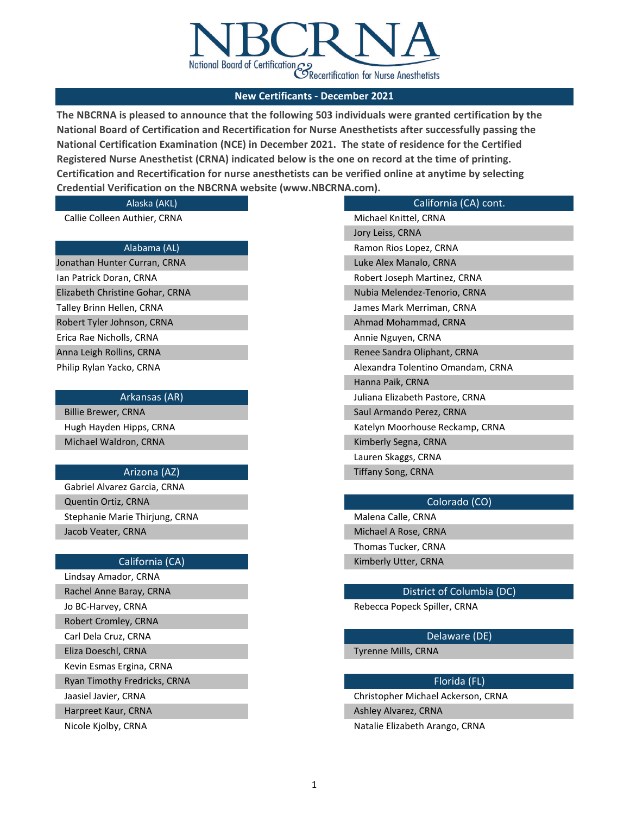

**The NBCRNA is pleased to announce that the following 503 individuals were granted certification by the National Board of Certification and Recertification for Nurse Anesthetists after successfully passing the National Certification Examination (NCE) in December 2021. The state of residence for the Certified Registered Nurse Anesthetist (CRNA) indicated below is the one on record at the time of printing. Certification and Recertification for nurse anesthetists can be verified online at anytime by selecting Credential Verification on the NBCRNA website (www.NBCRNA.com).** 

### Alaska (AKL)

Callie Colleen Authier, CRNA

### Alabama (AL)

Jonathan Hunter Curran, CRNA Robert Tyler Johnson, CRNA Erica Rae Nicholls, CRNA Anna Leigh Rollins, CRNA Ian Patrick Doran, CRNA Elizabeth Christine Gohar, CRNA Talley Brinn Hellen, CRNA Philip Rylan Yacko, CRNA

Arkansas (AR)

Billie Brewer, CRNA Hugh Hayden Hipps, CRNA Michael Waldron, CRNA

### Arizona (AZ)

Stephanie Marie Thirjung, CRNA Malena Calle, CRNA Malena Calle, CRNA Jacob Veater, CRNA Michael A Rose, CRNA Michael A Rose, CRNA Gabriel Alvarez Garcia, CRNA Quentin Ortiz, CRNA Colorado (CO)

Jo BC-Harvey, CRNA **Rebecca Popeck Spiller, CRNA** Robert Cromley, CRNA Carl Dela Cruz, CRNA Delaware (DE) Lindsay Amador, CRNA Rachel Anne Baray, CRNA District of Columbia (DC) Jaasiel Javier, CRNA Christopher Michael Ackerson, CRNA Harpreet Kaur, CRNA Ashley Alvarez, CRNA Ashley Alvarez, CRNA Nicole Kjolby, CRNA Natalie Elizabeth Arango, CRNA Eliza Doeschl, CRNA Tyrenne Mills, CRNA Kevin Esmas Ergina, CRNA Ryan Timothy Fredricks, CRNA Florida (FL) and the state of the state of the state of the Florida (FL) and the state of the state of the state of the state of the state of the state of the state of the state of the state of

| ────────                          |  |  |
|-----------------------------------|--|--|
| California (CA) cont.             |  |  |
| Michael Knittel, CRNA             |  |  |
| Jory Leiss, CRNA                  |  |  |
| Ramon Rios Lopez, CRNA            |  |  |
| Luke Alex Manalo, CRNA            |  |  |
| Robert Joseph Martinez, CRNA      |  |  |
| Nubia Melendez-Tenorio, CRNA      |  |  |
| James Mark Merriman, CRNA         |  |  |
| Ahmad Mohammad, CRNA              |  |  |
| Annie Nguyen, CRNA                |  |  |
| Renee Sandra Oliphant, CRNA       |  |  |
| Alexandra Tolentino Omandam, CRNA |  |  |
| Hanna Paik, CRNA                  |  |  |
| Juliana Elizabeth Pastore, CRNA   |  |  |
| Saul Armando Perez, CRNA          |  |  |
| Katelyn Moorhouse Reckamp, CRNA   |  |  |
| Kimberly Segna, CRNA              |  |  |
| Lauren Skaggs, CRNA               |  |  |
| Tiffany Song, CRNA                |  |  |

Thomas Tucker, CRNA California (CA) **Kimberly Utter, CRNA**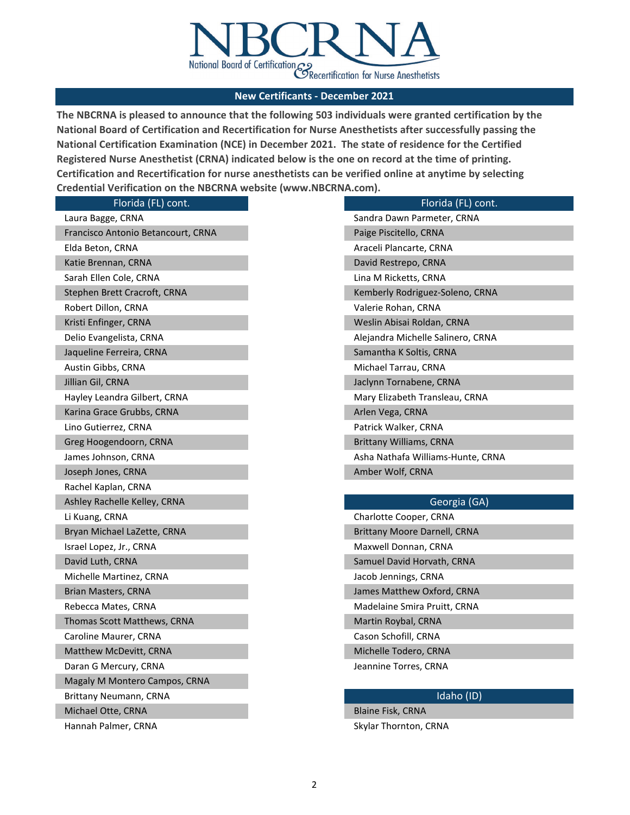

**The NBCRNA is pleased to announce that the following 503 individuals were granted certification by the National Board of Certification and Recertification for Nurse Anesthetists after successfully passing the National Certification Examination (NCE) in December 2021. The state of residence for the Certified Registered Nurse Anesthetist (CRNA) indicated below is the one on record at the time of printing. Certification and Recertification for nurse anesthetists can be verified online at anytime by selecting Credential Verification on the NBCRNA website (www.NBCRNA.com).** 

| Florida (FL) cont.                 | Florida (FL) cont.                |
|------------------------------------|-----------------------------------|
| Laura Bagge, CRNA                  | Sandra Dawn Parmeter, CRNA        |
| Francisco Antonio Betancourt, CRNA | Paige Piscitello, CRNA            |
| Elda Beton, CRNA                   | Araceli Plancarte, CRNA           |
| Katie Brennan, CRNA                | David Restrepo, CRNA              |
| Sarah Ellen Cole, CRNA             | Lina M Ricketts, CRNA             |
| Stephen Brett Cracroft, CRNA       | Kemberly Rodriguez-Soleno, CRNA   |
| Robert Dillon, CRNA                | Valerie Rohan, CRNA               |
| Kristi Enfinger, CRNA              | Weslin Abisai Roldan, CRNA        |
| Delio Evangelista, CRNA            | Alejandra Michelle Salinero, CRNA |
| Jaqueline Ferreira, CRNA           | Samantha K Soltis, CRNA           |
| Austin Gibbs, CRNA                 | Michael Tarrau, CRNA              |
| Jillian Gil, CRNA                  | Jaclynn Tornabene, CRNA           |
| Hayley Leandra Gilbert, CRNA       | Mary Elizabeth Transleau, CRNA    |
| Karina Grace Grubbs, CRNA          | Arlen Vega, CRNA                  |
| Lino Gutierrez, CRNA               | Patrick Walker, CRNA              |
| Greg Hoogendoorn, CRNA             | <b>Brittany Williams, CRNA</b>    |
| James Johnson, CRNA                | Asha Nathafa Williams-Hunte, CRNA |
| Joseph Jones, CRNA                 | Amber Wolf, CRNA                  |
| Rachel Kaplan, CRNA                |                                   |
| Ashley Rachelle Kelley, CRNA       | Georgia (GA)                      |
| Li Kuang, CRNA                     | Charlotte Cooper, CRNA            |
| Bryan Michael LaZette, CRNA        | Brittany Moore Darnell, CRNA      |
| Israel Lopez, Jr., CRNA            | Maxwell Donnan, CRNA              |
| David Luth, CRNA                   | Samuel David Horvath, CRNA        |
| Michelle Martinez, CRNA            | Jacob Jennings, CRNA              |
| <b>Brian Masters, CRNA</b>         | James Matthew Oxford, CRNA        |
| Rebecca Mates, CRNA                | Madelaine Smira Pruitt, CRNA      |
| Thomas Scott Matthews, CRNA        | Martin Roybal, CRNA               |
| Caroline Maurer, CRNA              | Cason Schofill, CRNA              |
| Matthew McDevitt, CRNA             | Michelle Todero, CRNA             |
| Daran G Mercury, CRNA              | Jeannine Torres, CRNA             |
| Magaly M Montero Campos, CRNA      |                                   |
| Brittany Neumann, CRNA             | Idaho (ID)                        |
| Michael Otte, CRNA                 | Blaine Fisk, CRNA                 |
|                                    |                                   |

Hannah Palmer, CRNA Skylar Thornton, CRNA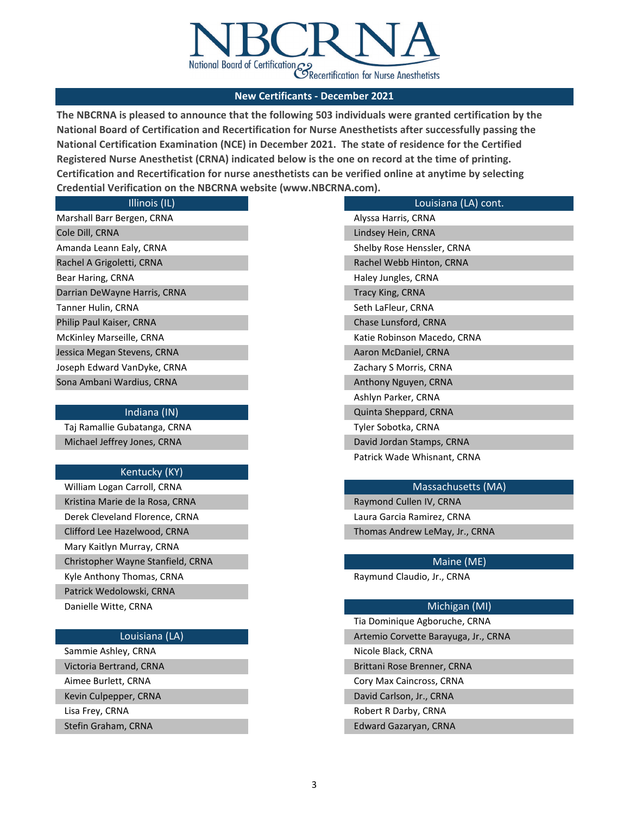

**The NBCRNA is pleased to announce that the following 503 individuals were granted certification by the National Board of Certification and Recertification for Nurse Anesthetists after successfully passing the National Certification Examination (NCE) in December 2021. The state of residence for the Certified Registered Nurse Anesthetist (CRNA) indicated below is the one on record at the time of printing. Certification and Recertification for nurse anesthetists can be verified online at anytime by selecting Credential Verification on the NBCRNA website (www.NBCRNA.com).** 

| Illinois (IL)                | Louisiana (LA) cont.        |
|------------------------------|-----------------------------|
| Marshall Barr Bergen, CRNA   | Alyssa Harris, CRNA         |
| Cole Dill, CRNA              | Lindsey Hein, CRNA          |
| Amanda Leann Ealy, CRNA      | Shelby Rose Henssler, CRNA  |
| Rachel A Grigoletti, CRNA    | Rachel Webb Hinton, CRNA    |
| Bear Haring, CRNA            | Haley Jungles, CRNA         |
| Darrian DeWayne Harris, CRNA | Tracy King, CRNA            |
| Tanner Hulin, CRNA           | Seth LaFleur, CRNA          |
| Philip Paul Kaiser, CRNA     | Chase Lunsford, CRNA        |
| McKinley Marseille, CRNA     | Katie Robinson Macedo, CRNA |
| Jessica Megan Stevens, CRNA  | Aaron McDaniel, CRNA        |
| Joseph Edward VanDyke, CRNA  | Zachary S Morris, CRNA      |
| Sona Ambani Wardius, CRNA    | Anthony Nguyen, CRNA        |
|                              | Ashlyn Parker, CRNA         |
| Indiana (IN)                 | Quinta Sheppard, CRNA       |
|                              |                             |

Taj Ramallie Gubatanga, CRNA Tyler Sobotka, CRNA Michael Jeffrey Jones, CRNA David Jordan Stamps, CRNA David Jordan Stamps, CRNA

### Kentucky (KY)

| William Logan Carroll, CRNA       |
|-----------------------------------|
| Kristina Marie de la Rosa, CRNA   |
| Derek Cleveland Florence, CRNA    |
| Clifford Lee Hazelwood, CRNA      |
| Mary Kaitlyn Murray, CRNA         |
| Christopher Wayne Stanfield, CRNA |
| Kyle Anthony Thomas, CRNA         |
| Patrick Wedolowski, CRNA          |
| Danielle Witte, CRNA              |
|                                   |

Sammie Ashley, CRNA Nicole Black, CRNA Nicole Black, CRNA Lisa Frey, CRNA Robert R Darby, CRNA Kevin Culpepper, CRNA David Carlson, Jr., CRNA

### Massachusetts (MA)

Laura Garcia Ramirez, CRNA Thomas Andrew LeMay, Jr., CRNA Raymond Cullen IV, CRNA

Patrick Wade Whisnant, CRNA

### Maine (ME)

Raymund Claudio, Jr., CRNA

### Michigan (MI)

Tia Dominique Agboruche, CRNA Louisiana (LA) **Artemio Corvette Barayuga, Jr., CRNA** Artemio Corvette Barayuga, Jr., CRNA Stefin Graham, CRNA Edward Gazaryan, CRNA Victoria Bertrand, CRNA Brittani Rose Brenner, CRNA Aimee Burlett, CRNA Cory Max Caincross, CRNA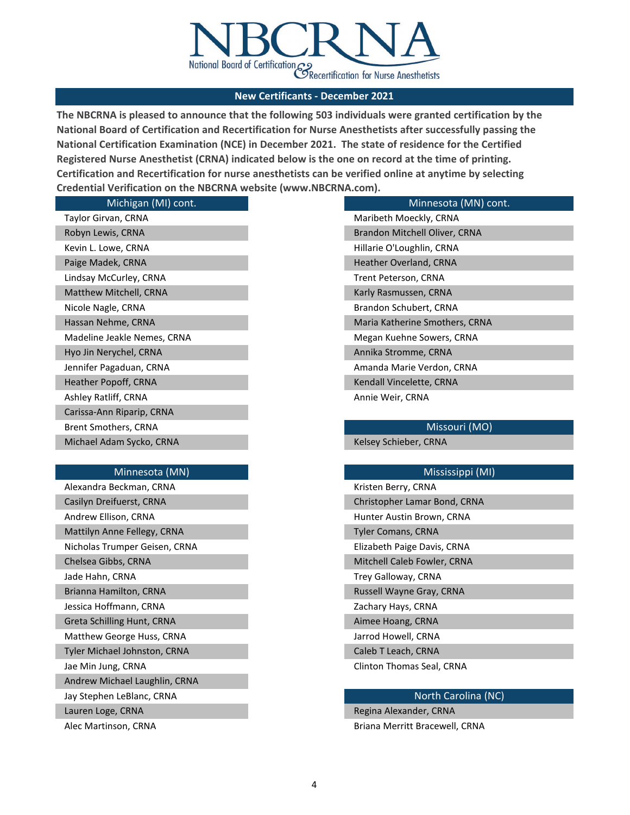

**The NBCRNA is pleased to announce that the following 503 individuals were granted certification by the National Board of Certification and Recertification for Nurse Anesthetists after successfully passing the National Certification Examination (NCE) in December 2021. The state of residence for the Certified Registered Nurse Anesthetist (CRNA) indicated below is the one on record at the time of printing. Certification and Recertification for nurse anesthetists can be verified online at anytime by selecting Credential Verification on the NBCRNA website (www.NBCRNA.com).** 

| Michigan (MI) cont.         | Minnesota (MN) cont.           |
|-----------------------------|--------------------------------|
| Taylor Girvan, CRNA         | Maribeth Moeckly, CRNA         |
| Robyn Lewis, CRNA           | Brandon Mitchell Oliver, CRNA  |
| Kevin L. Lowe, CRNA         | Hillarie O'Loughlin, CRNA      |
| Paige Madek, CRNA           | Heather Overland, CRNA         |
| Lindsay McCurley, CRNA      | Trent Peterson, CRNA           |
| Matthew Mitchell, CRNA      | Karly Rasmussen, CRNA          |
| Nicole Nagle, CRNA          | Brandon Schubert, CRNA         |
| Hassan Nehme, CRNA          | Maria Katherine Smothers, CRNA |
| Madeline Jeakle Nemes, CRNA | Megan Kuehne Sowers, CRNA      |
| Hyo Jin Nerychel, CRNA      | Annika Stromme, CRNA           |
| Jennifer Pagaduan, CRNA     | Amanda Marie Verdon, CRNA      |
| Heather Popoff, CRNA        | Kendall Vincelette, CRNA       |
| Ashley Ratliff, CRNA        | Annie Weir, CRNA               |
| Carissa-Ann Riparip, CRNA   |                                |
| Brent Smothers, CRNA        | Missouri (MO)                  |
| Michael Adam Sycko, CRNA    | Kelsey Schieber, CRNA          |
|                             |                                |
| Minnesota (MN)              | Mississippi (MI)               |
| Alexandra Beckman, CRNA     | Kristen Berry, CRNA            |
| Casilyn Dreifuerst, CRNA    | Christopher Lamar Bond, CRNA   |
| Andrew Ellison, CRNA        | Hunter Austin Brown, CRNA      |

| Nicholas Trumper Geisen, CRNA |  | Elizabeth Paige Davis, CRNA |
|-------------------------------|--|-----------------------------|
| Chelsea Gibbs, CRNA           |  | Mitchell Caleb Fowler, CRNA |
| Jade Hahn, CRNA               |  | Trey Galloway, CRNA         |
| Brianna Hamilton, CRNA        |  | Russell Wayne Gray, CRNA    |
| Jessica Hoffmann, CRNA        |  | Zachary Hays, CRNA          |
| Greta Schilling Hunt, CRNA    |  | Aimee Hoang, CRNA           |
| Matthew George Huss, CRNA     |  | Jarrod Howell, CRNA         |
| Tyler Michael Johnston, CRNA  |  | Caleb T Leach, CRNA         |
| Jae Min Jung, CRNA            |  | Clinton Thomas Seal, CRNA   |
| Andrew Michael Laughlin, CRNA |  |                             |
|                               |  |                             |

Mattilyn Anne Fellegy, CRNA Tyler Comans, CRNA

### Jay Stephen LeBlanc, CRNA North Carolina (NC)

Lauren Loge, CRNA Regina Alexander, CRNA Regina Alexander, CRNA

Alec Martinson, CRNA Briana Merritt Bracewell, CRNA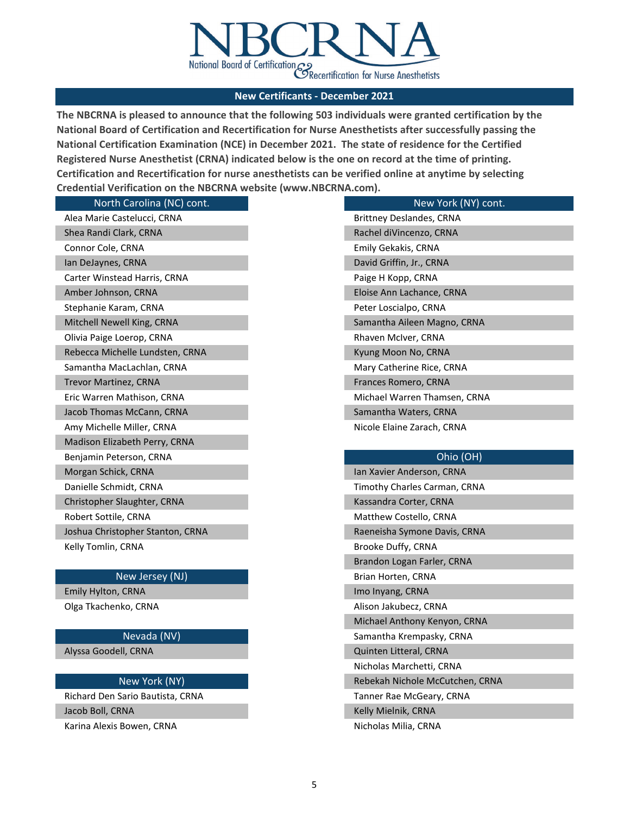

**The NBCRNA is pleased to announce that the following 503 individuals were granted certification by the National Board of Certification and Recertification for Nurse Anesthetists after successfully passing the National Certification Examination (NCE) in December 2021. The state of residence for the Certified Registered Nurse Anesthetist (CRNA) indicated below is the one on record at the time of printing. Certification and Recertification for nurse anesthetists can be verified online at anytime by selecting Credential Verification on the NBCRNA website (www.NBCRNA.com).** 

| North Carolina (NC) cont.        | New York (NY) cont.          |
|----------------------------------|------------------------------|
| Alea Marie Castelucci, CRNA      | Brittney Deslandes, CRNA     |
| Shea Randi Clark, CRNA           | Rachel diVincenzo, CRNA      |
| Connor Cole, CRNA                | Emily Gekakis, CRNA          |
| Ian DeJaynes, CRNA               | David Griffin, Jr., CRNA     |
| Carter Winstead Harris, CRNA     | Paige H Kopp, CRNA           |
| Amber Johnson, CRNA              | Eloise Ann Lachance, CRNA    |
| Stephanie Karam, CRNA            | Peter Loscialpo, CRNA        |
| Mitchell Newell King, CRNA       | Samantha Aileen Magno, CRNA  |
| Olivia Paige Loerop, CRNA        | Rhaven McIver, CRNA          |
| Rebecca Michelle Lundsten, CRNA  | Kyung Moon No, CRNA          |
| Samantha MacLachlan, CRNA        | Mary Catherine Rice, CRNA    |
| <b>Trevor Martinez, CRNA</b>     | Frances Romero, CRNA         |
| Eric Warren Mathison, CRNA       | Michael Warren Thamsen, CRNA |
| Jacob Thomas McCann, CRNA        | Samantha Waters, CRNA        |
| Amy Michelle Miller, CRNA        | Nicole Elaine Zarach, CRNA   |
| Madison Elizabeth Perry, CRNA    |                              |
| Benjamin Peterson, CRNA          | Ohio (OH)                    |
| Morgan Schick, CRNA              | Ian Xavier Anderson, CRNA    |
| Danielle Schmidt, CRNA           | Timothy Charles Carman, CRNA |
| Christopher Slaughter, CRNA      | Kassandra Corter, CRNA       |
| Robert Sottile, CRNA             | Matthew Costello, CRNA       |
| Joshua Christopher Stanton, CRNA | Raeneisha Symone Davis, CRNA |
| Kelly Tomlin, CRNA               | Brooke Duffy, CRNA           |
|                                  | Brandon Logan Farler, CRNA   |
| New Jersey (NJ)                  | Brian Horten, CRNA           |

# Emily Hylton, CRNA **Imo International Imo Inyang, CRNA**

Olga Tkachenko, CRNA alison Jakubecz, CRNA Alison Jakubecz, CRNA

Alyssa Goodell, CRNA

Richard Den Sario Bautista, CRNA Tanner Rae McGeary, CRNA Jacob Boll, CRNA Kelly Mielnik, CRNA Kelly Mielnik, CRNA Kelly Mielnik, CRNA

Karina Alexis Bowen, CRNA Nicholas Milia, CRNA

Michael Anthony Kenyon, CRNA

- Nevada (NV) Samantha Krempasky, CRNA
	- Quinten Litteral, CRNA
	- Nicholas Marchetti, CRNA
- New York (NY) New York (NY) Rebekah Nichole McCutchen, CRNA
	-
	-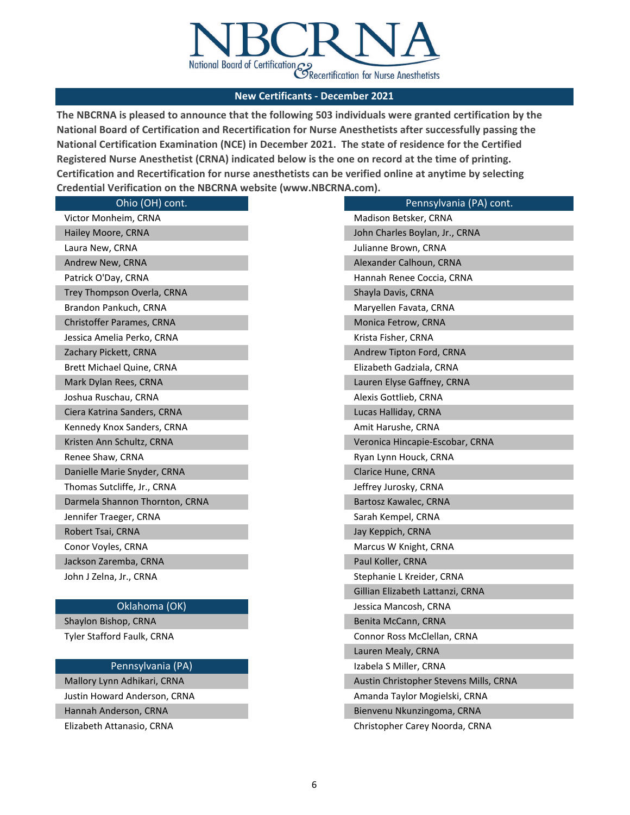

**The NBCRNA is pleased to announce that the following 503 individuals were granted certification by the National Board of Certification and Recertification for Nurse Anesthetists after successfully passing the National Certification Examination (NCE) in December 2021. The state of residence for the Certified Registered Nurse Anesthetist (CRNA) indicated below is the one on record at the time of printing. Certification and Recertification for nurse anesthetists can be verified online at anytime by selecting Credential Verification on the NBCRNA website (www.NBCRNA.com).** 

| Ohio (OH) cont.                | Pennsylvania (PA) cont.                |
|--------------------------------|----------------------------------------|
| Victor Monheim, CRNA           | Madison Betsker, CRNA                  |
| Hailey Moore, CRNA             | John Charles Boylan, Jr., CRNA         |
| Laura New, CRNA                | Julianne Brown, CRNA                   |
| Andrew New, CRNA               | Alexander Calhoun, CRNA                |
| Patrick O'Day, CRNA            | Hannah Renee Coccia, CRNA              |
| Trey Thompson Overla, CRNA     | Shayla Davis, CRNA                     |
| Brandon Pankuch, CRNA          | Maryellen Favata, CRNA                 |
| Christoffer Parames, CRNA      | Monica Fetrow, CRNA                    |
| Jessica Amelia Perko, CRNA     | Krista Fisher, CRNA                    |
| Zachary Pickett, CRNA          | Andrew Tipton Ford, CRNA               |
| Brett Michael Quine, CRNA      | Elizabeth Gadziala, CRNA               |
| Mark Dylan Rees, CRNA          | Lauren Elyse Gaffney, CRNA             |
| Joshua Ruschau, CRNA           | Alexis Gottlieb, CRNA                  |
| Ciera Katrina Sanders, CRNA    | Lucas Halliday, CRNA                   |
| Kennedy Knox Sanders, CRNA     | Amit Harushe, CRNA                     |
| Kristen Ann Schultz, CRNA      | Veronica Hincapie-Escobar, CRNA        |
| Renee Shaw, CRNA               | Ryan Lynn Houck, CRNA                  |
| Danielle Marie Snyder, CRNA    | Clarice Hune, CRNA                     |
| Thomas Sutcliffe, Jr., CRNA    | Jeffrey Jurosky, CRNA                  |
| Darmela Shannon Thornton, CRNA | Bartosz Kawalec, CRNA                  |
| Jennifer Traeger, CRNA         | Sarah Kempel, CRNA                     |
| Robert Tsai, CRNA              | Jay Keppich, CRNA                      |
| Conor Voyles, CRNA             | Marcus W Knight, CRNA                  |
| Jackson Zaremba, CRNA          | Paul Koller, CRNA                      |
| John J Zelna, Jr., CRNA        | Stephanie L Kreider, CRNA              |
|                                | Gillian Elizabeth Lattanzi, CRNA       |
| Oklahoma (OK)                  | Jessica Mancosh, CRNA                  |
| Shaylon Bishop, CRNA           | Benita McCann, CRNA                    |
| Tyler Stafford Faulk, CRNA     | Connor Ross McClellan, CRNA            |
|                                | Lauren Mealy, CRNA                     |
| Pennsylvania (PA)              | Izabela S Miller, CRNA                 |
| Mallory Lynn Adhikari, CRNA    | Austin Christopher Stevens Mills, CRNA |
| Justin Howard Anderson, CRNA   | Amanda Taylor Mogielski, CRNA          |

Hannah Anderson, CRNA Bienvenu Nkunzingoma, CRNA

Elizabeth Attanasio, CRNA Christopher Carey Noorda, CRNA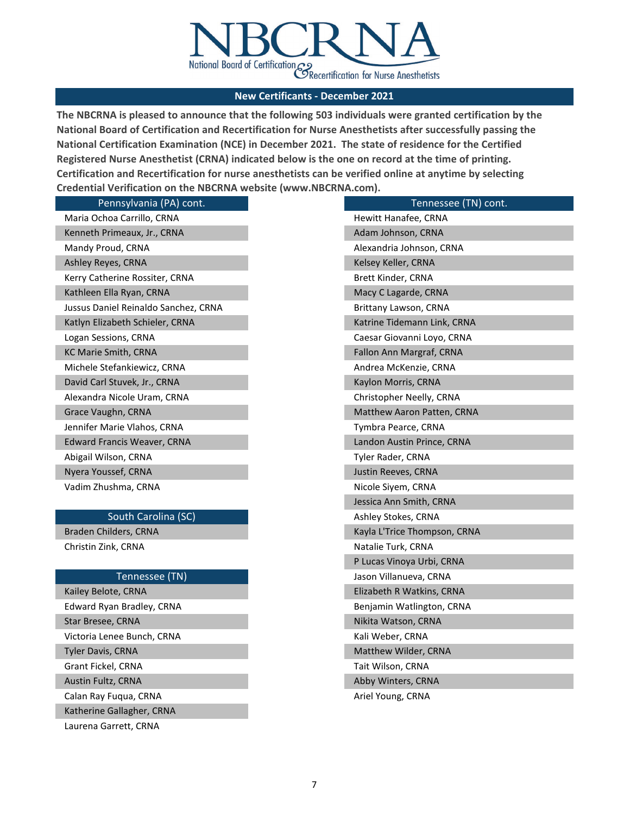

**The NBCRNA is pleased to announce that the following 503 individuals were granted certification by the National Board of Certification and Recertification for Nurse Anesthetists after successfully passing the National Certification Examination (NCE) in December 2021. The state of residence for the Certified Registered Nurse Anesthetist (CRNA) indicated below is the one on record at the time of printing. Certification and Recertification for nurse anesthetists can be verified online at anytime by selecting Credential Verification on the NBCRNA website (www.NBCRNA.com).** 

| Pennsylvania (PA) cont.              | Tennessee (TN) cont.         |
|--------------------------------------|------------------------------|
| Maria Ochoa Carrillo, CRNA           | Hewitt Hanafee, CRNA         |
| Kenneth Primeaux, Jr., CRNA          | Adam Johnson, CRNA           |
| Mandy Proud, CRNA                    | Alexandria Johnson, CRNA     |
| Ashley Reyes, CRNA                   | Kelsey Keller, CRNA          |
| Kerry Catherine Rossiter, CRNA       | Brett Kinder, CRNA           |
| Kathleen Ella Ryan, CRNA             | Macy C Lagarde, CRNA         |
| Jussus Daniel Reinaldo Sanchez, CRNA | Brittany Lawson, CRNA        |
| Katlyn Elizabeth Schieler, CRNA      | Katrine Tidemann Link, CRNA  |
| Logan Sessions, CRNA                 | Caesar Giovanni Loyo, CRNA   |
| KC Marie Smith, CRNA                 | Fallon Ann Margraf, CRNA     |
| Michele Stefankiewicz, CRNA          | Andrea McKenzie, CRNA        |
| David Carl Stuvek, Jr., CRNA         | Kaylon Morris, CRNA          |
| Alexandra Nicole Uram, CRNA          | Christopher Neelly, CRNA     |
| Grace Vaughn, CRNA                   | Matthew Aaron Patten, CRNA   |
| Jennifer Marie Vlahos, CRNA          | Tymbra Pearce, CRNA          |
| <b>Edward Francis Weaver, CRNA</b>   | Landon Austin Prince, CRNA   |
| Abigail Wilson, CRNA                 | Tyler Rader, CRNA            |
| Nyera Youssef, CRNA                  | Justin Reeves, CRNA          |
| Vadim Zhushma, CRNA                  | Nicole Sivem, CRNA           |
|                                      | Jessica Ann Smith, CRNA      |
| South Carolina (SC)                  | Ashley Stokes, CRNA          |
| Braden Childers, CRNA                | Kayla L'Trice Thompson, CRNA |
| Christin Zink, CRNA                  | Natalie Turk, CRNA           |
|                                      | P Lucas Vinoya Urbi, CRNA    |
| Tennessee (TN)                       | Jason Villanueva, CRNA       |
| Kailey Belote, CRNA                  | Elizabeth R Watkins, CRNA    |
| Edward Ryan Bradley, CRNA            | Benjamin Watlington, CRNA    |
| Star Bresee, CRNA                    | Nikita Watson, CRNA          |
| Victoria Lenee Bunch, CRNA           | Kali Weber, CRNA             |
| Tyler Davis, CRNA                    | Matthew Wilder, CRNA         |
| Grant Fickel, CRNA                   | Tait Wilson, CRNA            |
| Austin Fultz, CRNA                   | Abby Winters, CRNA           |
| Calan Ray Fuqua, CRNA                | Ariel Young, CRNA            |

Katherine Gallagher, CRNA

Laurena Garrett, CRNA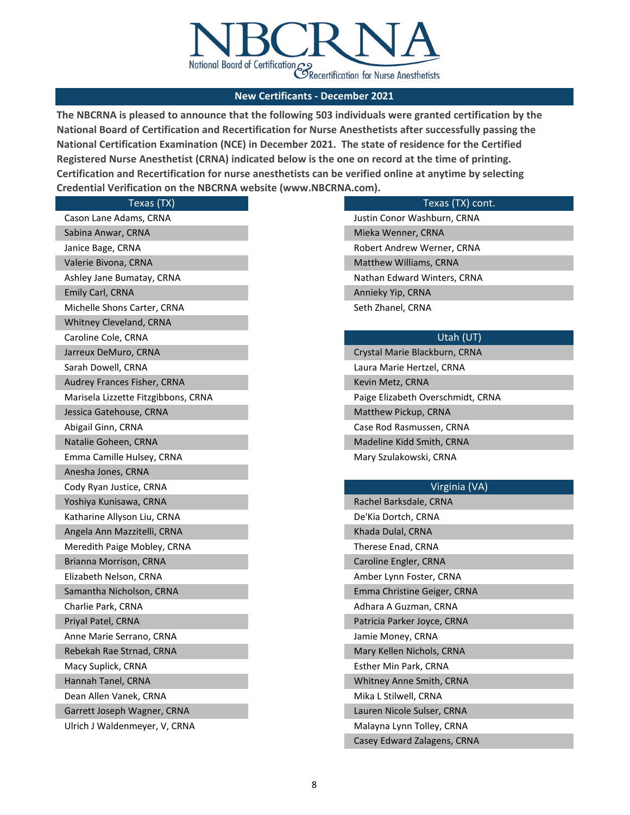

**The NBCRNA is pleased to announce that the following 503 individuals were granted certification by the National Board of Certification and Recertification for Nurse Anesthetists after successfully passing the National Certification Examination (NCE) in December 2021. The state of residence for the Certified Registered Nurse Anesthetist (CRNA) indicated below is the one on record at the time of printing. Certification and Recertification for nurse anesthetists can be verified online at anytime by selecting Credential Verification on the NBCRNA website (www.NBCRNA.com).** 

| Texas (TX)                          |
|-------------------------------------|
| Cason Lane Adams, CRNA              |
| Sabina Anwar, CRNA                  |
| Janice Bage, CRNA                   |
| Valerie Bivona, CRNA                |
| Ashley Jane Bumatay, CRNA           |
| Emily Carl, CRNA                    |
| Michelle Shons Carter, CRNA         |
| Whitney Cleveland, CRNA             |
| Caroline Cole, CRNA                 |
| Jarreux DeMuro, CRNA                |
| Sarah Dowell, CRNA                  |
| Audrey Frances Fisher, CRNA         |
| Marisela Lizzette Fitzgibbons, CRNA |
| Jessica Gatehouse, CRNA             |
| Abigail Ginn, CRNA                  |
| Natalie Goheen, CRNA                |
| Emma Camille Hulsey, CRNA           |
|                                     |
| Anesha Jones, CRNA                  |
| Cody Ryan Justice, CRNA             |
| Yoshiya Kunisawa, CRNA              |
| Katharine Allyson Liu, CRNA         |
| Angela Ann Mazzitelli, CRNA         |
| Meredith Paige Mobley, CRNA         |
| Brianna Morrison, CRNA              |
| Elizabeth Nelson, CRNA              |
| Samantha Nicholson, CRNA            |
| Charlie Park, CRNA                  |
| Priyal Patel, CRNA                  |
| Anne Marie Serrano, CRNA            |
| Rebekah Rae Strnad, CRNA            |
| Macy Suplick, CRNA                  |
| Hannah Tanel, CRNA                  |
| Dean Allen Vanek, CRNA              |
| Garrett Joseph Wagner, CRNA         |

Ulrich J Waldenmeyer, V, CRNA

### Texas (TX) cont.

Justin Conor Washburn, CRNA Mieka Wenner, CRNA Robert Andrew Werner, CRNA Seth Zhanel, CRNA Matthew Williams, CRNA Nathan Edward Winters, CRNA Annieky Yip, CRNA

Paige Elizabeth Overschmidt, CRNA Matthew Pickup, CRNA Case Rod Rasmussen, CRNA Crystal Marie Blackburn, CRNA Laura Marie Hertzel, CRNA Kevin Metz, CRNA Madeline Kidd Smith, CRNA Mary Szulakowski, CRNA

## Virginia (VA)

| Rachel Barksdale, CRNA      |
|-----------------------------|
| De'Kia Dortch, CRNA         |
| Khada Dulal, CRNA           |
| Therese Enad, CRNA          |
| Caroline Engler, CRNA       |
| Amber Lynn Foster, CRNA     |
| Emma Christine Geiger, CRNA |
| Adhara A Guzman, CRNA       |
| Patricia Parker Joyce, CRNA |
| Jamie Money, CRNA           |
| Mary Kellen Nichols, CRNA   |
| Esther Min Park, CRNA       |
| Whitney Anne Smith, CRNA    |
| Mika L Stilwell, CRNA       |
| Lauren Nicole Sulser, CRNA  |
| Malayna Lynn Tolley, CRNA   |
| Casey Edward Zalagens, CRNA |